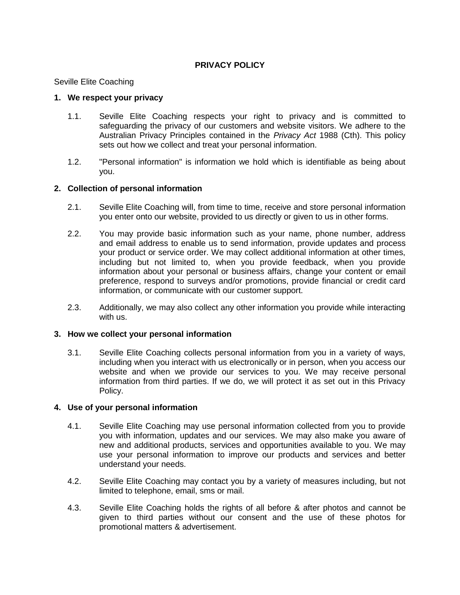# **PRIVACY POLICY**

Seville Elite Coaching

#### **1. We respect your privacy**

- 1.1. Seville Elite Coaching respects your right to privacy and is committed to safeguarding the privacy of our customers and website visitors. We adhere to the Australian Privacy Principles contained in the *Privacy Act* 1988 (Cth). This policy sets out how we collect and treat your personal information.
- 1.2. "Personal information" is information we hold which is identifiable as being about you.

#### **2. Collection of personal information**

- 2.1. Seville Elite Coaching will, from time to time, receive and store personal information you enter onto our website, provided to us directly or given to us in other forms.
- 2.2. You may provide basic information such as your name, phone number, address and email address to enable us to send information, provide updates and process your product or service order. We may collect additional information at other times, including but not limited to, when you provide feedback, when you provide information about your personal or business affairs, change your content or email preference, respond to surveys and/or promotions, provide financial or credit card information, or communicate with our customer support.
- 2.3. Additionally, we may also collect any other information you provide while interacting with us.

#### **3. How we collect your personal information**

3.1. Seville Elite Coaching collects personal information from you in a variety of ways, including when you interact with us electronically or in person, when you access our website and when we provide our services to you. We may receive personal information from third parties. If we do, we will protect it as set out in this Privacy Policy.

#### **4. Use of your personal information**

- 4.1. Seville Elite Coaching may use personal information collected from you to provide you with information, updates and our services. We may also make you aware of new and additional products, services and opportunities available to you. We may use your personal information to improve our products and services and better understand your needs.
- 4.2. Seville Elite Coaching may contact you by a variety of measures including, but not limited to telephone, email, sms or mail.
- 4.3. Seville Elite Coaching holds the rights of all before & after photos and cannot be given to third parties without our consent and the use of these photos for promotional matters & advertisement.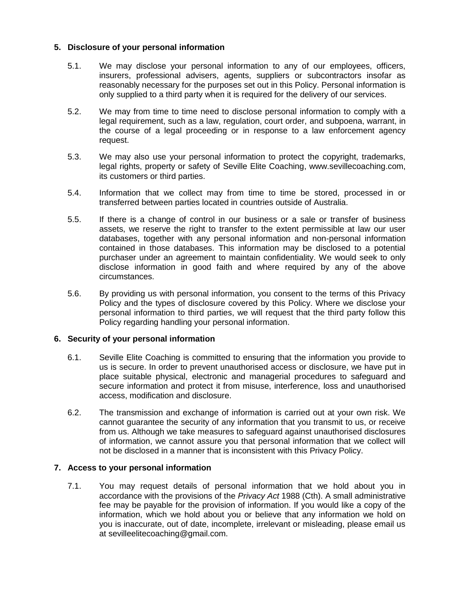# **5. Disclosure of your personal information**

- 5.1. We may disclose your personal information to any of our employees, officers, insurers, professional advisers, agents, suppliers or subcontractors insofar as reasonably necessary for the purposes set out in this Policy. Personal information is only supplied to a third party when it is required for the delivery of our services.
- 5.2. We may from time to time need to disclose personal information to comply with a legal requirement, such as a law, regulation, court order, and subpoena, warrant, in the course of a legal proceeding or in response to a law enforcement agency request.
- 5.3. We may also use your personal information to protect the copyright, trademarks, legal rights, property or safety of Seville Elite Coaching, www.sevillecoaching.com, its customers or third parties.
- 5.4. Information that we collect may from time to time be stored, processed in or transferred between parties located in countries outside of Australia.
- 5.5. If there is a change of control in our business or a sale or transfer of business assets, we reserve the right to transfer to the extent permissible at law our user databases, together with any personal information and non-personal information contained in those databases. This information may be disclosed to a potential purchaser under an agreement to maintain confidentiality. We would seek to only disclose information in good faith and where required by any of the above circumstances.
- 5.6. By providing us with personal information, you consent to the terms of this Privacy Policy and the types of disclosure covered by this Policy. Where we disclose your personal information to third parties, we will request that the third party follow this Policy regarding handling your personal information.

#### **6. Security of your personal information**

- 6.1. Seville Elite Coaching is committed to ensuring that the information you provide to us is secure. In order to prevent unauthorised access or disclosure, we have put in place suitable physical, electronic and managerial procedures to safeguard and secure information and protect it from misuse, interference, loss and unauthorised access, modification and disclosure.
- 6.2. The transmission and exchange of information is carried out at your own risk. We cannot guarantee the security of any information that you transmit to us, or receive from us. Although we take measures to safeguard against unauthorised disclosures of information, we cannot assure you that personal information that we collect will not be disclosed in a manner that is inconsistent with this Privacy Policy.

#### **7. Access to your personal information**

7.1. You may request details of personal information that we hold about you in accordance with the provisions of the *Privacy Act* 1988 (Cth). A small administrative fee may be payable for the provision of information. If you would like a copy of the information, which we hold about you or believe that any information we hold on you is inaccurate, out of date, incomplete, irrelevant or misleading, please email us at sevilleelitecoaching@gmail.com.